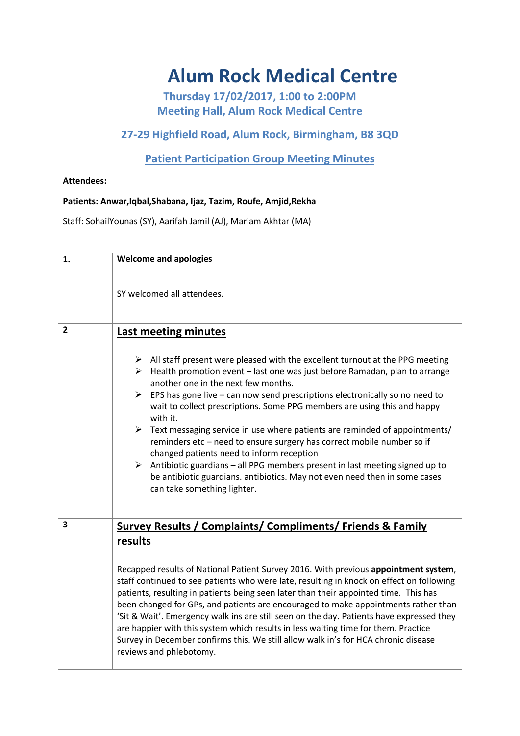# **Alum Rock Medical Centre**

**Thursday 17/02/2017, 1:00 to 2:00PM Meeting Hall, Alum Rock Medical Centre**

## **27-29 Highfield Road, Alum Rock, Birmingham, B8 3QD**

## **Patient Participation Group Meeting Minutes**

### **Attendees:**

#### **Patients: Anwar,Iqbal,Shabana, Ijaz, Tazim, Roufe, Amjid,Rekha**

Staff: SohailYounas (SY), Aarifah Jamil (AJ), Mariam Akhtar (MA)

| 1.             | <b>Welcome and apologies</b>                                                                                                                                                                                                                                                                                                                                                                                                                                                                                                                                                                                                                                                                                                                                                                                                                                   |
|----------------|----------------------------------------------------------------------------------------------------------------------------------------------------------------------------------------------------------------------------------------------------------------------------------------------------------------------------------------------------------------------------------------------------------------------------------------------------------------------------------------------------------------------------------------------------------------------------------------------------------------------------------------------------------------------------------------------------------------------------------------------------------------------------------------------------------------------------------------------------------------|
|                | SY welcomed all attendees.                                                                                                                                                                                                                                                                                                                                                                                                                                                                                                                                                                                                                                                                                                                                                                                                                                     |
| $\overline{2}$ | Last meeting minutes                                                                                                                                                                                                                                                                                                                                                                                                                                                                                                                                                                                                                                                                                                                                                                                                                                           |
|                | $\triangleright$ All staff present were pleased with the excellent turnout at the PPG meeting<br>$\triangleright$ Health promotion event - last one was just before Ramadan, plan to arrange<br>another one in the next few months.<br>$\triangleright$ EPS has gone live – can now send prescriptions electronically so no need to<br>wait to collect prescriptions. Some PPG members are using this and happy<br>with it.<br>$\triangleright$ Text messaging service in use where patients are reminded of appointments/<br>reminders etc - need to ensure surgery has correct mobile number so if<br>changed patients need to inform reception<br>$\triangleright$ Antibiotic guardians – all PPG members present in last meeting signed up to<br>be antibiotic guardians. antibiotics. May not even need then in some cases<br>can take something lighter. |
| 3              | Survey Results / Complaints/ Compliments/ Friends & Family<br>results<br>Recapped results of National Patient Survey 2016. With previous appointment system,<br>staff continued to see patients who were late, resulting in knock on effect on following<br>patients, resulting in patients being seen later than their appointed time. This has<br>been changed for GPs, and patients are encouraged to make appointments rather than<br>'Sit & Wait'. Emergency walk ins are still seen on the day. Patients have expressed they<br>are happier with this system which results in less waiting time for them. Practice<br>Survey in December confirms this. We still allow walk in's for HCA chronic disease<br>reviews and phlebotomy.                                                                                                                      |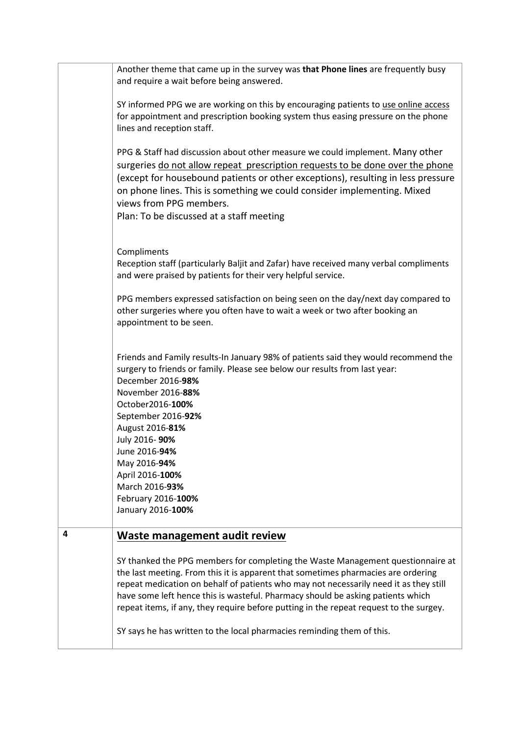|   | Another theme that came up in the survey was that Phone lines are frequently busy<br>and require a wait before being answered.                                                                                                                                                                                                                                                                             |
|---|------------------------------------------------------------------------------------------------------------------------------------------------------------------------------------------------------------------------------------------------------------------------------------------------------------------------------------------------------------------------------------------------------------|
|   | SY informed PPG we are working on this by encouraging patients to use online access<br>for appointment and prescription booking system thus easing pressure on the phone<br>lines and reception staff.                                                                                                                                                                                                     |
|   | PPG & Staff had discussion about other measure we could implement. Many other<br>surgeries do not allow repeat prescription requests to be done over the phone<br>(except for housebound patients or other exceptions), resulting in less pressure<br>on phone lines. This is something we could consider implementing. Mixed<br>views from PPG members.<br>Plan: To be discussed at a staff meeting       |
|   | Compliments<br>Reception staff (particularly Baljit and Zafar) have received many verbal compliments<br>and were praised by patients for their very helpful service.                                                                                                                                                                                                                                       |
|   | PPG members expressed satisfaction on being seen on the day/next day compared to<br>other surgeries where you often have to wait a week or two after booking an<br>appointment to be seen.                                                                                                                                                                                                                 |
|   | Friends and Family results-In January 98% of patients said they would recommend the<br>surgery to friends or family. Please see below our results from last year:<br>December 2016-98%<br>November 2016-88%<br>October2016-100%<br>September 2016-92%<br>August 2016-81%<br>July 2016-90%<br>June 2016-94%<br>May 2016-94%<br>April 2016-100%<br>March 2016-93%<br>February 2016-100%<br>January 2016-100% |
| 4 | Waste management audit review<br>SY thanked the PPG members for completing the Waste Management questionnaire at<br>the last meeting. From this it is apparent that sometimes pharmacies are ordering<br>repeat medication on behalf of patients who may not necessarily need it as they still<br>have some left hence this is wasteful. Pharmacy should be asking patients which                          |
|   | repeat items, if any, they require before putting in the repeat request to the surgey.<br>SY says he has written to the local pharmacies reminding them of this.                                                                                                                                                                                                                                           |